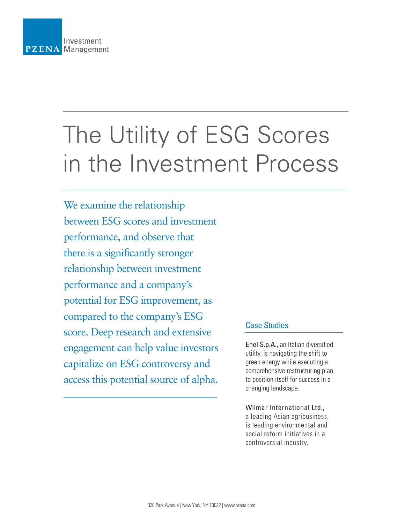

# The Utility of ESG Scores in the Investment Process

We examine the relationship between ESG scores and investment performance, and observe that there is a significantly stronger relationship between investment performance and a company's potential for ESG improvement, as compared to the company's ESG score. Deep research and extensive engagement can help value investors capitalize on ESG controversy and access this potential source of alpha.

# Case Studies

Enel S.p.A., an Italian diversified utility, is navigating the shift to green energy while executing a comprehensive restructuring plan to position itself for success in a changing landscape.

#### Wilmar International Ltd.,

a leading Asian agribusiness, is leading environmental and social reform initiatives in a controversial industry.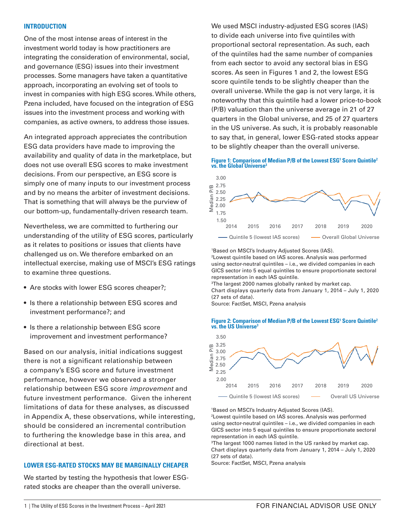#### **INTRODUCTION**

One of the most intense areas of interest in the investment world today is how practitioners are integrating the consideration of environmental, social, and governance (ESG) issues into their investment processes. Some managers have taken a quantitative approach, incorporating an evolving set of tools to invest in companies with high ESG scores. While others, Pzena included, have focused on the integration of ESG issues into the investment process and working with companies, as active owners, to address those issues.

An integrated approach appreciates the contribution ESG data providers have made to improving the availability and quality of data in the marketplace, but does not use overall ESG scores to make investment decisions. From our perspective, an ESG score is simply one of many inputs to our investment process and by no means the arbiter of investment decisions. That is something that will always be the purview of our bottom-up, fundamentally-driven research team.

Nevertheless, we are committed to furthering our understanding of the utility of ESG scores, particularly as it relates to positions or issues that clients have challenged us on. We therefore embarked on an intellectual exercise, making use of MSCI's ESG ratings to examine three questions.

- Are stocks with lower ESG scores cheaper?;
- Is there a relationship between ESG scores and investment performance?; and
- Is there a relationship between ESG score improvement and investment performance?

Based on our analysis, initial indications suggest there is not a significant relationship between a company's ESG score and future investment performance, however we observed a stronger relationship between ESG score *improvement* and future investment performance. Given the inherent limitations of data for these analyses, as discussed in Appendix A, these observations, while interesting, should be considered an incremental contribution to furthering the knowledge base in this area, and directional at best.

#### **LOWER ESG-RATED STOCKS MAY BE MARGINALLY CHEAPER**

We started by testing the hypothesis that lower ESGrated stocks are cheaper than the overall universe.

We used MSCI industry-adjusted ESG scores (IAS) to divide each universe into five quintiles with proportional sectoral representation. As such, each of the quintiles had the same number of companies from each sector to avoid any sectoral bias in ESG scores. As seen in Figures 1 and 2, the lowest ESG score quintile tends to be slightly cheaper than the overall universe. While the gap is not very large, it is noteworthy that this quintile had a lower price-to-book (P/B) valuation than the universe average in 21 of 27 quarters in the Global universe, and 25 of 27 quarters in the US universe. As such, it is probably reasonable to say that, in general, lower ESG-rated stocks appear to be slightly cheaper than the overall universe.

#### **Figure 1: Comparison of Median P/B of the Lowest ESG<sup>1</sup> Score Quintile<sup>2</sup> vs. the Global Universe<sup>3</sup>**



1 Based on MSCI's Industry Adjusted Scores (IAS). 2 Lowest quintile based on IAS scores. Analysis was performed using sector-neutral quintiles – i.e., we divided companies in each GICS sector into 5 equal quintiles to ensure proportionate sectoral representation in each IAS quintile.

3 The largest 2000 names globally ranked by market cap. Chart displays quarterly data from January 1, 2014 – July 1, 2020 (27 sets of data).

Source: FactSet, MSCI, Pzena analysis

#### Figure 2: Comparison of Median P/B of the Lowest ESG<sup>1</sup> Score Quintile<sup>2</sup> **vs. the US Universe**



1 Based on MSCI's Industry Adjusted Scores (IAS).

2 Lowest quintile based on IAS scores. Analysis was performed using sector-neutral quintiles – i.e., we divided companies in each GICS sector into 5 equal quintiles to ensure proportionate sectoral representation in each IAS quintile.

3 The largest 1000 names listed in the US ranked by market cap. Chart displays quarterly data from January 1, 2014 – July 1, 2020 (27 sets of data).

Source: FactSet, MSCI, Pzena analysis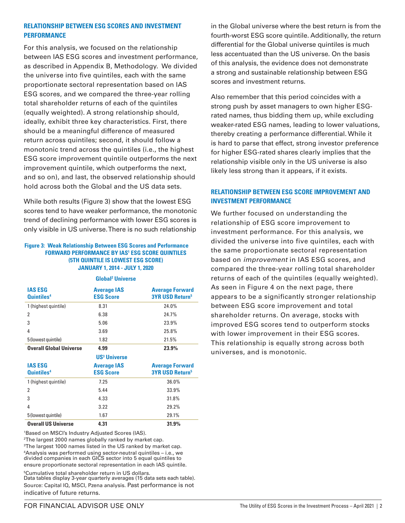#### **RELATIONSHIP BETWEEN ESG SCORES AND INVESTMENT PERFORMANCE**

For this analysis, we focused on the relationship between IAS ESG scores and investment performance, as described in Appendix B, Methodology. We divided the universe into five quintiles, each with the same proportionate sectoral representation based on IAS ESG scores, and we compared the three-year rolling total shareholder returns of each of the quintiles (equally weighted). A strong relationship should, ideally, exhibit three key characteristics. First, there should be a meaningful difference of measured return across quintiles; second, it should follow a monotonic trend across the quintiles (i.e., the highest ESG score improvement quintile outperforms the next improvement quintile, which outperforms the next, and so on), and last, the observed relationship should hold across both the Global and the US data sets.

While both results (Figure 3) show that the lowest ESG scores tend to have weaker performance, the monotonic trend of declining performance with lower ESG scores is only visible in US universe. There is no such relationship

#### **Figure 3: Weak Relationship Between ESG Scores and Performance FORWARD PERFORMANCE BY IAS1 ESG SCORE QUINTILES (5TH QUINTILE IS LOWEST ESG SCORE) JANUARY 1, 2014 - JULY 1, 2020**

| <b>IAS ESG</b><br>Quintiles <sup>4</sup> | <b>Average IAS</b><br><b>ESG Score</b> | <b>Average Forward</b><br><b>3YR USD Return<sup>5</sup></b> |
|------------------------------------------|----------------------------------------|-------------------------------------------------------------|
| 1 (highest quintile)                     | 8.31                                   | 24.0%                                                       |
| 2                                        | 6.38                                   | 24.7%                                                       |
| 3                                        | 5.06                                   | 23.9%                                                       |
| 4                                        | 3.69                                   | 25.8%                                                       |
| 5 (lowest quintile)                      | 1.82                                   | 21.5%                                                       |
| <b>Overall Global Universe</b>           | 4.99                                   | 23.9%                                                       |
|                                          | <b>US<sup>3</sup></b> Universe         |                                                             |
| <b>IAS ESG</b><br>Quintiles <sup>4</sup> | <b>Average IAS</b><br><b>ESG Score</b> | <b>Average Forward</b><br><b>3YR USD Return<sup>5</sup></b> |
| 1 (highest quintile)                     | 7.25                                   | 36.0%                                                       |
| $\overline{2}$                           | 5.44                                   | 33.9%                                                       |
| 3                                        | 4.33                                   | 31.8%                                                       |
| 4                                        | 3.22                                   | 29.2%                                                       |
| 5 (lowest quintile)                      | 1.67                                   | 29.1%                                                       |
| <b>Overall US Universe</b>               | 4.31                                   | 31.9%                                                       |

**Global2 Universe**

<sup>1</sup>Based on MSCI's Industry Adjusted Scores (IAS).

<sup>2</sup>The largest 2000 names globally ranked by market cap. <sup>3</sup>The largest 1000 names listed in the US ranked by market cap. <sup>4</sup>Analysis was performed using sector-neutral quintiles – i.e., we divided companies in each GICS sector into 5 equal quintiles to ensure proportionate sectoral representation in each IAS quintile.

<sup>5</sup>Cumulative total shareholder return in US dollars.

Data tables display 3-year quarterly averages (15 data sets each table). Source: Capital IQ, MSCI, Pzena analysis. Past performance is not indicative of future returns.

in the Global universe where the best return is from the fourth-worst ESG score quintile. Additionally, the return differential for the Global universe quintiles is much less accentuated than the US universe. On the basis of this analysis, the evidence does not demonstrate a strong and sustainable relationship between ESG scores and investment returns.

Also remember that this period coincides with a strong push by asset managers to own higher ESGrated names, thus bidding them up, while excluding weaker-rated ESG names, leading to lower valuations, thereby creating a performance differential. While it is hard to parse that effect, strong investor preference for higher ESG-rated shares clearly implies that the relationship visible only in the US universe is also likely less strong than it appears, if it exists.

# **RELATIONSHIP BETWEEN ESG SCORE IMPROVEMENT AND INVESTMENT PERFORMANCE**

We further focused on understanding the relationship of ESG score improvement to investment performance. For this analysis, we divided the universe into five quintiles, each with the same proportionate sectoral representation based on *improvement* in IAS ESG scores, and compared the three-year rolling total shareholder returns of each of the quintiles (equally weighted). As seen in Figure 4 on the next page, there appears to be a significantly stronger relationship between ESG score improvement and total shareholder returns. On average, stocks with improved ESG scores tend to outperform stocks with lower improvement in their ESG scores. This relationship is equally strong across both universes, and is monotonic.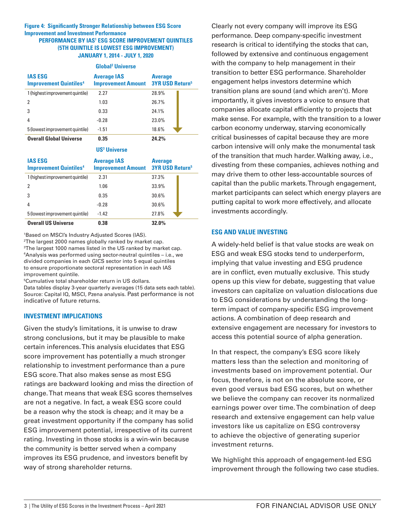#### **Figure 4: Significantly Stronger Relationship between ESG Score Improvement and Investment Performance PERFORMANCE BY IAS1 ESG SCORE IMPROVEMENT QUINTILES (5TH QUINTILE IS LOWEST ESG IMPROVEMENT) JANUARY 1, 2014 - JULY 1, 2020**

| <b>Global<sup>2</sup> Universe</b>              |                                                 |                                                     |  |  |
|-------------------------------------------------|-------------------------------------------------|-----------------------------------------------------|--|--|
| <b>IAS ESG</b><br><b>Improvement Quintiles4</b> | <b>Average IAS</b><br><b>Improvement Amount</b> | <b>Average</b><br><b>3YR USD Return<sup>5</sup></b> |  |  |
| 1 (highest improvement quintile)                | 2.27                                            | 28.9%                                               |  |  |
| 2                                               | 1.03                                            | 26.7%                                               |  |  |
|                                                 | 0.33                                            | 24.1%                                               |  |  |
| 4                                               | $-0.28$                                         | 23.0%                                               |  |  |
| 5 (lowest improvement quintile)                 | $-1.51$                                         | 18.6%                                               |  |  |
| <b>Overall Global Universe</b>                  | 0.35                                            | 24.2%                                               |  |  |

**US3 Universe**

| <b>IAS ESG</b><br><b>Improvement Quintiles<sup>4</sup></b> | <b>Average IAS</b><br><b>Improvement Amount</b> | <b>Average</b><br><b>3YR USD Return<sup>5</sup></b> |
|------------------------------------------------------------|-------------------------------------------------|-----------------------------------------------------|
| 1 (highest improvement quintile)                           | 2.31                                            | 37.3%                                               |
| 2                                                          | 1.06                                            | 33.9%                                               |
|                                                            | 0.35                                            | 30.6%                                               |
| 4                                                          | $-0.28$                                         | 30.6%                                               |
| 5 (lowest improvement quintile)                            | $-1.42$                                         | 27.8%                                               |
| <b>Overall US Universe</b>                                 | 0.38                                            | 32.0%                                               |

1 Based on MSCI's Industry Adjusted Scores (IAS).

2 The largest 2000 names globally ranked by market cap. 3 The largest 1000 names listed in the US ranked by market cap. 4 Analysis was performed using sector-neutral quintiles – i.e., we divided companies in each GICS sector into 5 equal quintiles to ensure proportionate sectoral representation in each IAS improvement quintile.

5 Cumulative total shareholder return in US dollars.

Data tables display 3-year quarterly averages (15 data sets each table). Source: Capital IQ, MSCI, Pzena analysis. Past performance is not indicative of future returns.

#### **INVESTMENT IMPLICATIONS**

Given the study's limitations, it is unwise to draw strong conclusions, but it may be plausible to make certain inferences. This analysis elucidates that ESG score improvement has potentially a much stronger relationship to investment performance than a pure ESG score. That also makes sense as most ESG ratings are backward looking and miss the direction of change. That means that weak ESG scores themselves are not a negative. In fact, a weak ESG score could be a reason why the stock is cheap; and it may be a great investment opportunity if the company has solid ESG improvement potential, irrespective of its current rating. Investing in those stocks is a win-win because the community is better served when a company improves its ESG prudence, and investors benefit by way of strong shareholder returns.

Clearly not every company will improve its ESG performance. Deep company-specific investment research is critical to identifying the stocks that can, followed by extensive and continuous engagement with the company to help management in their transition to better ESG performance. Shareholder engagement helps investors determine which transition plans are sound (and which aren't). More importantly, it gives investors a voice to ensure that companies allocate capital efficiently to projects that make sense. For example, with the transition to a lower carbon economy underway, starving economically critical businesses of capital because they are more carbon intensive will only make the monumental task of the transition that much harder. Walking away, i.e., divesting from these companies, achieves nothing and may drive them to other less-accountable sources of capital than the public markets. Through engagement, market participants can select which energy players are putting capital to work more effectively, and allocate investments accordingly.

#### **ESG AND VALUE INVESTING**

A widely-held belief is that value stocks are weak on ESG and weak ESG stocks tend to underperform, implying that value investing and ESG prudence are in conflict, even mutually exclusive. This study opens up this view for debate, suggesting that value investors can capitalize on valuation dislocations due to ESG considerations by understanding the longterm impact of company-specific ESG improvement actions. A combination of deep research and extensive engagement are necessary for investors to access this potential source of alpha generation.

In that respect, the company's ESG score likely matters less than the selection and monitoring of investments based on improvement potential. Our focus, therefore, is not on the absolute score, or even good versus bad ESG scores, but on whether we believe the company can recover its normalized earnings power over time. The combination of deep research and extensive engagement can help value investors like us capitalize on ESG controversy to achieve the objective of generating superior investment returns.

We highlight this approach of engagement-led ESG improvement through the following two case studies.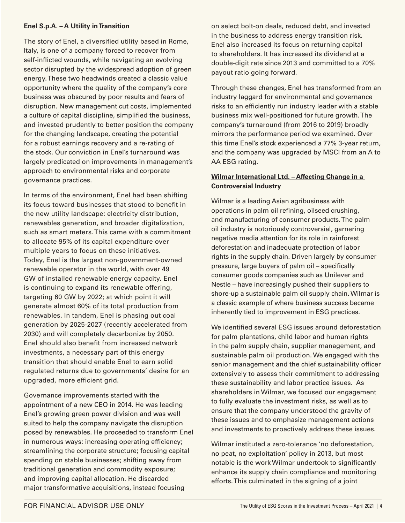## **Enel S.p.A. – A Utility in Transition**

The story of Enel, a diversified utility based in Rome, Italy, is one of a company forced to recover from self-inflicted wounds, while navigating an evolving sector disrupted by the widespread adoption of green energy. These two headwinds created a classic value opportunity where the quality of the company's core business was obscured by poor results and fears of disruption. New management cut costs, implemented a culture of capital discipline, simplified the business, and invested prudently to better position the company for the changing landscape, creating the potential for a robust earnings recovery and a re-rating of the stock. Our conviction in Enel's turnaround was largely predicated on improvements in management's approach to environmental risks and corporate governance practices.

In terms of the environment, Enel had been shifting its focus toward businesses that stood to benefit in the new utility landscape: electricity distribution, renewables generation, and broader digitalization, such as smart meters. This came with a commitment to allocate 95% of its capital expenditure over multiple years to focus on these initiatives. Today, Enel is the largest non-government-owned renewable operator in the world, with over 49 GW of installed renewable energy capacity. Enel is continuing to expand its renewable offering, targeting 60 GW by 2022; at which point it will generate almost 60% of its total production from renewables. In tandem, Enel is phasing out coal generation by 2025-2027 (recently accelerated from 2030) and will completely decarbonize by 2050. Enel should also benefit from increased network investments, a necessary part of this energy transition that should enable Enel to earn solid regulated returns due to governments' desire for an upgraded, more efficient grid.

Governance improvements started with the appointment of a new CEO in 2014. He was leading Enel's growing green power division and was well suited to help the company navigate the disruption posed by renewables. He proceeded to transform Enel in numerous ways: increasing operating efficiency; streamlining the corporate structure; focusing capital spending on stable businesses; shifting away from traditional generation and commodity exposure; and improving capital allocation. He discarded major transformative acquisitions, instead focusing

on select bolt-on deals, reduced debt, and invested in the business to address energy transition risk. Enel also increased its focus on returning capital to shareholders. It has increased its dividend at a double-digit rate since 2013 and committed to a 70% payout ratio going forward.

Through these changes, Enel has transformed from an industry laggard for environmental and governance risks to an efficiently run industry leader with a stable business mix well-positioned for future growth. The company's turnaround (from 2016 to 2019) broadly mirrors the performance period we examined. Over this time Enel's stock experienced a 77% 3-year return, and the company was upgraded by MSCI from an A to AA ESG rating.

## **Wilmar International Ltd. – Affecting Change in a Controversial Industry**

Wilmar is a leading Asian agribusiness with operations in palm oil refining, oilseed crushing, and manufacturing of consumer products. The palm oil industry is notoriously controversial, garnering negative media attention for its role in rainforest deforestation and inadequate protection of labor rights in the supply chain. Driven largely by consumer pressure, large buyers of palm oil – specifically consumer goods companies such as Unilever and Nestle – have increasingly pushed their suppliers to shore-up a sustainable palm oil supply chain. Wilmar is a classic example of where business success became inherently tied to improvement in ESG practices.

We identified several ESG issues around deforestation for palm plantations, child labor and human rights in the palm supply chain, supplier management, and sustainable palm oil production. We engaged with the senior management and the chief sustainability officer extensively to assess their commitment to addressing these sustainability and labor practice issues. As shareholders in Wilmar, we focused our engagement to fully evaluate the investment risks, as well as to ensure that the company understood the gravity of these issues and to emphasize management actions and investments to proactively address these issues.

Wilmar instituted a zero-tolerance 'no deforestation, no peat, no exploitation' policy in 2013, but most notable is the work Wilmar undertook to significantly enhance its supply chain compliance and monitoring efforts. This culminated in the signing of a joint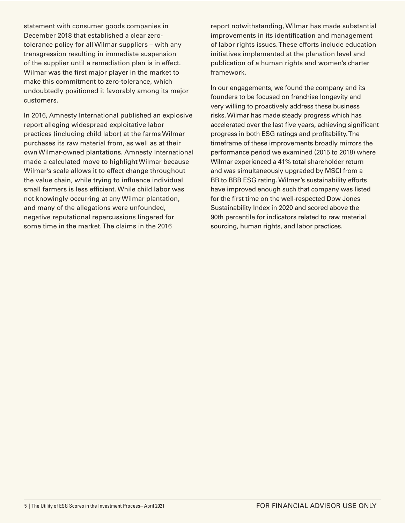statement with consumer goods companies in December 2018 that established a clear zerotolerance policy for all Wilmar suppliers – with any transgression resulting in immediate suspension of the supplier until a remediation plan is in effect. Wilmar was the first major player in the market to make this commitment to zero-tolerance, which undoubtedly positioned it favorably among its major customers.

In 2016, Amnesty International published an explosive report alleging widespread exploitative labor practices (including child labor) at the farms Wilmar purchases its raw material from, as well as at their own Wilmar-owned plantations. Amnesty International made a calculated move to highlight Wilmar because Wilmar's scale allows it to effect change throughout the value chain, while trying to influence individual small farmers is less efficient. While child labor was not knowingly occurring at any Wilmar plantation, and many of the allegations were unfounded, negative reputational repercussions lingered for some time in the market. The claims in the 2016

report notwithstanding, Wilmar has made substantial improvements in its identification and management of labor rights issues. These efforts include education initiatives implemented at the planation level and publication of a human rights and women's charter framework.

In our engagements, we found the company and its founders to be focused on franchise longevity and very willing to proactively address these business risks. Wilmar has made steady progress which has accelerated over the last five years, achieving significant progress in both ESG ratings and profitability. The timeframe of these improvements broadly mirrors the performance period we examined (2015 to 2018) where Wilmar experienced a 41% total shareholder return and was simultaneously upgraded by MSCI from a BB to BBB ESG rating. Wilmar's sustainability efforts have improved enough such that company was listed for the first time on the well-respected Dow Jones Sustainability Index in 2020 and scored above the 90th percentile for indicators related to raw material sourcing, human rights, and labor practices.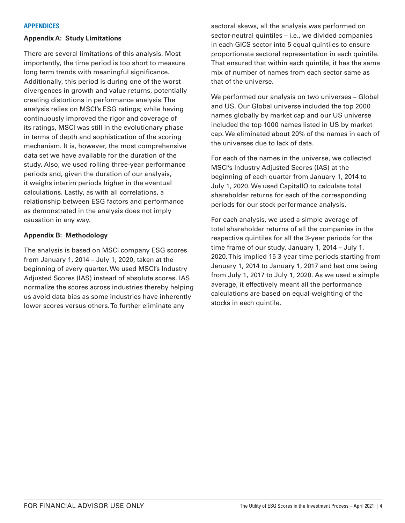#### **APPENDICES**

#### **Appendix A: Study Limitations**

There are several limitations of this analysis. Most importantly, the time period is too short to measure long term trends with meaningful significance. Additionally, this period is during one of the worst divergences in growth and value returns, potentially creating distortions in performance analysis. The analysis relies on MSCI's ESG ratings; while having continuously improved the rigor and coverage of its ratings, MSCI was still in the evolutionary phase in terms of depth and sophistication of the scoring mechanism. It is, however, the most comprehensive data set we have available for the duration of the study. Also, we used rolling three-year performance periods and, given the duration of our analysis, it weighs interim periods higher in the eventual calculations. Lastly, as with all correlations, a relationship between ESG factors and performance as demonstrated in the analysis does not imply causation in any way.

#### **Appendix B: Methodology**

The analysis is based on MSCI company ESG scores from January 1, 2014 – July 1, 2020, taken at the beginning of every quarter. We used MSCI's Industry Adjusted Scores (IAS) instead of absolute scores. IAS normalize the scores across industries thereby helping us avoid data bias as some industries have inherently lower scores versus others. To further eliminate any

sectoral skews, all the analysis was performed on sector-neutral quintiles – i.e., we divided companies in each GICS sector into 5 equal quintiles to ensure proportionate sectoral representation in each quintile. That ensured that within each quintile, it has the same mix of number of names from each sector same as that of the universe.

We performed our analysis on two universes – Global and US. Our Global universe included the top 2000 names globally by market cap and our US universe included the top 1000 names listed in US by market cap. We eliminated about 20% of the names in each of the universes due to lack of data.

For each of the names in the universe, we collected MSCI's Industry Adjusted Scores (IAS) at the beginning of each quarter from January 1, 2014 to July 1, 2020. We used CapitalIQ to calculate total shareholder returns for each of the corresponding periods for our stock performance analysis.

For each analysis, we used a simple average of total shareholder returns of all the companies in the respective quintiles for all the 3-year periods for the time frame of our study, January 1, 2014 – July 1, 2020. This implied 15 3-year time periods starting from January 1, 2014 to January 1, 2017 and last one being from July 1, 2017 to July 1, 2020. As we used a simple average, it effectively meant all the performance calculations are based on equal-weighting of the stocks in each quintile.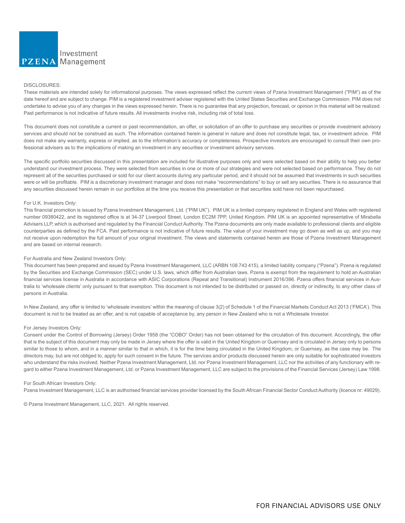

#### DISCLOSURES:

These materials are intended solely for informational purposes. The views expressed reflect the current views of Pzena Investment Management ("PIM") as of the date hereof and are subject to change. PIM is a registered investment adviser registered with the United States Securities and Exchange Commission. PIM does not undertake to advise you of any changes in the views expressed herein. There is no guarantee that any projection, forecast, or opinion in this material will be realized. Past performance is not indicative of future results. All investments involve risk, including risk of total loss.

This document does not constitute a current or past recommendation, an offer, or solicitation of an offer to purchase any securities or provide investment advisory services and should not be construed as such. The information contained herein is general in nature and does not constitute legal, tax, or investment advice. PIM does not make any warranty, express or implied, as to the information's accuracy or completeness. Prospective investors are encouraged to consult their own professional advisers as to the implications of making an investment in any securities or investment advisory services.

The specific portfolio securities discussed in this presentation are included for illustrative purposes only and were selected based on their ability to help you better understand our investment process. They were selected from securities in one or more of our strategies and were not selected based on performance. They do not represent all of the securities purchased or sold for our client accounts during any particular period, and it should not be assumed that investments in such securities were or will be profitable. PIM is a discretionary investment manager and does not make "recommendations" to buy or sell any securities. There is no assurance that any securities discussed herein remain in our portfolios at the time you receive this presentation or that securities sold have not been repurchased.

#### For U.K. Investors Only:

This financial promotion is issued by Pzena Investment Management, Ltd. ("PIM UK"). PIM UK is a limited company registered in England and Wales with registered number 09380422, and its registered office is at 34-37 Liverpool Street, London EC2M 7PP, United Kingdom. PIM UK is an appointed representative of Mirabella Advisers LLP, which is authorised and regulated by the Financial Conduct Authority. The Pzena documents are only made available to professional clients and eligible counterparties as defined by the FCA. Past performance is not indicative of future results. The value of your investment may go down as well as up, and you may not receive upon redemption the full amount of your original investment. The views and statements contained herein are those of Pzena Investment Management and are based on internal research.

#### For Australia and New Zealand Investors Only:

This document has been prepared and issued by Pzena Investment Management, LLC (ARBN 108 743 415), a limited liability company ("Pzena"). Pzena is regulated by the Securities and Exchange Commission (SEC) under U.S. laws, which differ from Australian laws. Pzena is exempt from the requirement to hold an Australian financial services license in Australia in accordance with ASIC Corporations (Repeal and Transitional) Instrument 2016/396. Pzena offers financial services in Australia to 'wholesale clients' only pursuant to that exemption. This document is not intended to be distributed or passed on, directly or indirectly, to any other class of persons in Australia.

In New Zealand, any offer is limited to 'wholesale investors' within the meaning of clause 3(2) of Schedule 1 of the Financial Markets Conduct Act 2013 ('FMCA'). This document is not to be treated as an offer, and is not capable of acceptance by, any person in New Zealand who is not a Wholesale Investor.

#### For Jersey Investors Only:

Consent under the Control of Borrowing (Jersey) Order 1958 (the "COBO" Order) has not been obtained for the circulation of this document. Accordingly, the offer that is the subject of this document may only be made in Jersey where the offer is valid in the United Kingdom or Guernsey and is circulated in Jersey only to persons similar to those to whom, and in a manner similar to that in which, it is for the time being circulated in the United Kingdom, or Guernsey, as the case may be. The directors may, but are not obliged to, apply for such consent in the future. The services and/or products discussed herein are only suitable for sophisticated investors who understand the risks involved. Neither Pzena Investment Management, Ltd. nor Pzena Investment Management, LLC nor the activities of any functionary with regard to either Pzena Investment Management, Ltd. or Pzena Investment Management, LLC are subject to the provisions of the Financial Services (Jersey) Law 1998.

#### For South African Investors Only:

Pzena Investment Management, LLC is an authorised financial services provider licensed by the South African Financial Sector Conduct Authority (licence nr: 49029).

© Pzena Investment Management, LLC, 2021. All rights reserved.